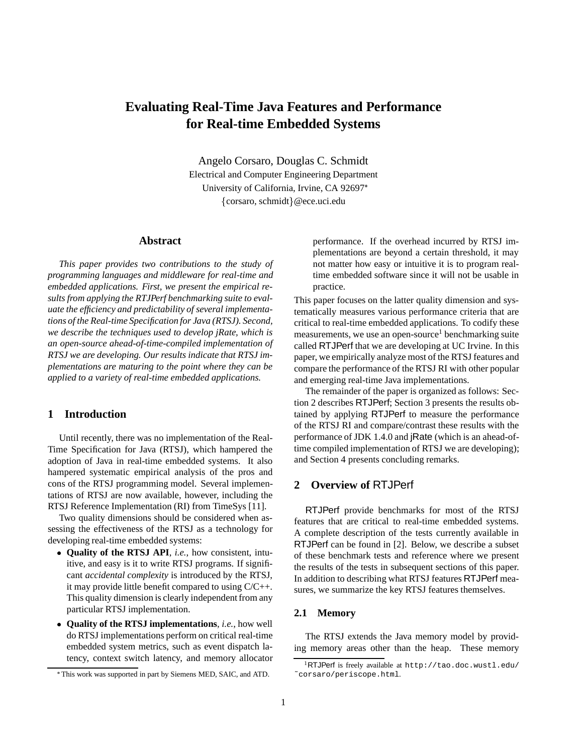# **Evaluating Real-Time Java Features and Performance for Real-time Embedded Systems**

Angelo Corsaro, Douglas C. Schmidt Electrical and Computer Engineering Department University of California, Irvine, CA 92697 {corsaro, schmidt}@ece.uci.edu

# **Abstract**

*This paper provides two contributions to the study of programming languages and middleware for real-time and embedded applications. First, we present the empirical results from applying the RTJPerf benchmarking suite to evaluate the efficiency and predictability of several implementations of the Real-time Specification for Java (RTSJ). Second, we describe the techniques used to develop jRate, which is an open-source ahead-of-time-compiled implementation of RTSJ we are developing. Our results indicate that RTSJ implementations are maturing to the point where they can be applied to a variety of real-time embedded applications.*

# **1 Introduction**

Until recently, there was no implementation of the Real-Time Specification for Java (RTSJ), which hampered the adoption of Java in real-time embedded systems. It also hampered systematic empirical analysis of the pros and cons of the RTSJ programming model. Several implementations of RTSJ are now available, however, including the RTSJ Reference Implementation (RI) from TimeSys [11].

Two quality dimensions should be considered when assessing the effectiveness of the RTSJ as a technology for developing real-time embedded systems:

- **Quality of the RTSJ API**, *i.e.*, how consistent, intuitive, and easy is it to write RTSJ programs. If significant *accidental complexity* is introduced by the RTSJ, it may provide little benefit compared to using C/C++. This quality dimension is clearly independent from any particular RTSJ implementation.
- **Quality of the RTSJ implementations**, *i.e.*, how well do RTSJ implementations perform on critical real-time embedded system metrics, such as event dispatch latency, context switch latency, and memory allocator

performance. If the overhead incurred by RTSJ implementations are beyond a certain threshold, it may not matter how easy or intuitive it is to program realtime embedded software since it will not be usable in practice.

This paper focuses on the latter quality dimension and systematically measures various performance criteria that are critical to real-time embedded applications. To codify these measurements, we use an open-source<sup>1</sup> benchmarking suite called RTJPerf that we are developing at UC Irvine. In this paper, we empirically analyze most of the RTSJ features and compare the performance of the RTSJ RI with other popular and emerging real-time Java implementations.

The remainder of the paper is organized as follows: Section 2 describes RTJPerf; Section 3 presents the results obtained by applying RTJPerf to measure the performance of the RTSJ RI and compare/contrast these results with the performance of JDK 1.4.0 and jRate (which is an ahead-oftime compiled implementation of RTSJ we are developing); and Section 4 presents concluding remarks.

## **2 Overview of** RTJPerf

RTJPerf provide benchmarks for most of the RTSJ features that are critical to real-time embedded systems. A complete description of the tests currently available in RTJPerf can be found in [2]. Below, we describe a subset of these benchmark tests and reference where we present the results of the tests in subsequent sections of this paper. In addition to describing what RTSJ features RTJPerf measures, we summarize the key RTSJ features themselves.

#### **2.1 Memory**

The RTSJ extends the Java memory model by providing memory areas other than the heap. These memory

This work was supported in part by Siemens MED, SAIC, and ATD.

<sup>1</sup>RTJPerf is freely available at http://tao.doc.wustl.edu/ ˜corsaro/periscope.html.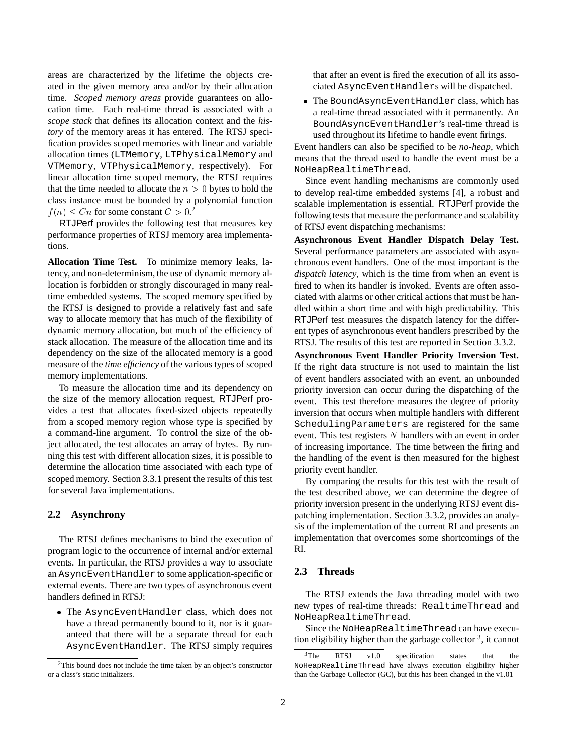areas are characterized by the lifetime the objects created in the given memory area and/or by their allocation time. *Scoped memory areas* provide guarantees on allocation time. Each real-time thread is associated with a *scope stack* that defines its allocation context and the *history* of the memory areas it has entered. The RTSJ specification provides scoped memories with linear and variable allocation times (LTMemory, LTPhysicalMemory and VTMemory, VTPhysicalMemory, respectively). For linear allocation time scoped memory, the RTSJ requires that the time needed to allocate the  $n > 0$  bytes to hold the class instance must be bounded by a polynomial function  $f(n) \leq Cn$  for some constant  $C > 0$ .<sup>2</sup>

RTJPerf provides the following test that measures key performance properties of RTSJ memory area implementations.

**Allocation Time Test.** To minimize memory leaks, latency, and non-determinism, the use of dynamic memory allocation is forbidden or strongly discouraged in many realtime embedded systems. The scoped memory specified by the RTSJ is designed to provide a relatively fast and safe way to allocate memory that has much of the flexibility of dynamic memory allocation, but much of the efficiency of stack allocation. The measure of the allocation time and its dependency on the size of the allocated memory is a good measure of the *time efficiency* of the various types of scoped memory implementations.

To measure the allocation time and its dependency on the size of the memory allocation request, RTJPerf provides a test that allocates fixed-sized objects repeatedly from a scoped memory region whose type is specified by a command-line argument. To control the size of the object allocated, the test allocates an array of bytes. By running this test with different allocation sizes, it is possible to determine the allocation time associated with each type of scoped memory. Section 3.3.1 present the results of this test for several Java implementations.

## **2.2 Asynchrony**

The RTSJ defines mechanisms to bind the execution of program logic to the occurrence of internal and/or external events. In particular, the RTSJ provides a way to associate an AsyncEventHandler to some application-specific or external events. There are two types of asynchronous event handlers defined in RTSJ:

 The AsyncEventHandler class, which does not have a thread permanently bound to it, nor is it guaranteed that there will be a separate thread for each AsyncEventHandler. The RTSJ simply requires

that after an event is fired the execution of all its associated AsyncEventHandlers will be dispatched.

 The BoundAsyncEventHandler class, which has a real-time thread associated with it permanently. An BoundAsyncEventHandler's real-time thread is used throughout its lifetime to handle event firings.

Event handlers can also be specified to be *no-heap*, which means that the thread used to handle the event must be a NoHeapRealtimeThread.

Since event handling mechanisms are commonly used to develop real-time embedded systems [4], a robust and scalable implementation is essential. RTJPerf provide the following tests that measure the performance and scalability of RTSJ event dispatching mechanisms:

**Asynchronous Event Handler Dispatch Delay Test.** Several performance parameters are associated with asynchronous event handlers. One of the most important is the *dispatch latency*, which is the time from when an event is fired to when its handler is invoked. Events are often associated with alarms or other critical actions that must be handled within a short time and with high predictability. This RTJPerf test measures the dispatch latency for the different types of asynchronous event handlers prescribed by the RTSJ. The results of this test are reported in Section 3.3.2.

**Asynchronous Event Handler Priority Inversion Test.** If the right data structure is not used to maintain the list of event handlers associated with an event, an unbounded priority inversion can occur during the dispatching of the event. This test therefore measures the degree of priority inversion that occurs when multiple handlers with different SchedulingParameters are registered for the same event. This test registers N handlers with an event in order of increasing importance. The time between the firing and the handling of the event is then measured for the highest priority event handler.

By comparing the results for this test with the result of the test described above, we can determine the degree of priority inversion present in the underlying RTSJ event dispatching implementation. Section 3.3.2, provides an analysis of the implementation of the current RI and presents an implementation that overcomes some shortcomings of the RI.

# **2.3 Threads**

The RTSJ extends the Java threading model with two new types of real-time threads: RealtimeThread and NoHeapRealtimeThread.

Since the NoHeapRealtimeThread can have execution eligibility higher than the garbage collector  $3$ , it cannot

<sup>2</sup>This bound does not include the time taken by an object's constructor or a class's static initializers.

 $3$ The RTSJ v1.0 specification states that the NoHeapRealtimeThread have always execution eligibility higher than the Garbage Collector (GC), but this has been changed in the v1.01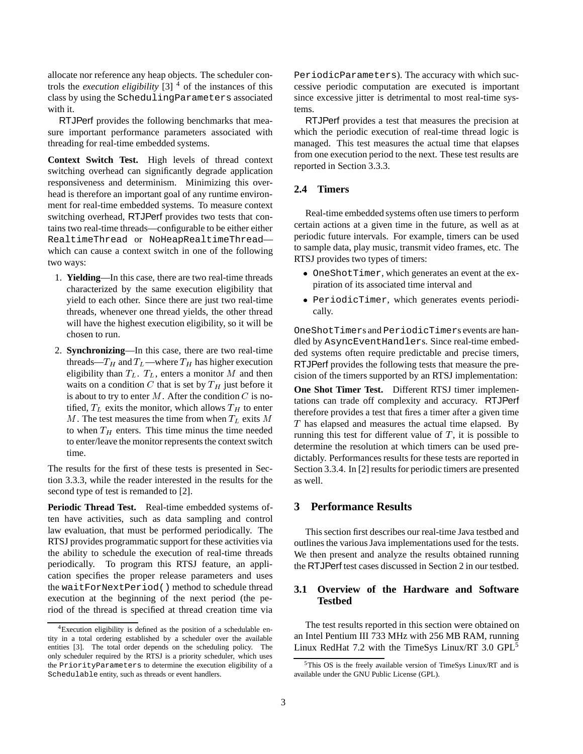allocate nor reference any heap objects. The scheduler controls the *execution eligibility* [3]  $<sup>4</sup>$  of the instances of this</sup> class by using the SchedulingParameters associated with it.

RTJPerf provides the following benchmarks that measure important performance parameters associated with threading for real-time embedded systems.

**Context Switch Test.** High levels of thread context switching overhead can significantly degrade application responsiveness and determinism. Minimizing this overhead is therefore an important goal of any runtime environment for real-time embedded systems. To measure context switching overhead, RTJPerf provides two tests that contains two real-time threads—configurable to be either either RealtimeThread or NoHeapRealtimeThread which can cause a context switch in one of the following two ways:

- 1. **Yielding**—In this case, there are two real-time threads characterized by the same execution eligibility that yield to each other. Since there are just two real-time threads, whenever one thread yields, the other thread will have the highest execution eligibility, so it will be chosen to run.
- 2. **Synchronizing**—In this case, there are two real-time threads— $T_H$  and  $T_L$ —where  $T_H$  has higher execution eligibility than  $T_L$ .  $T_L$ , enters a monitor M and then waits on a condition C that is set by  $T_H$  just before it is about to try to enter  $M$ . After the condition  $C$  is notified,  $T_L$  exits the monitor, which allows  $T_H$  to enter  $M$ . The test measures the time from when  $T_L$  exits  $M$ to when  $T_H$  enters. This time minus the time needed to enter/leave the monitor represents the context switch time.

The results for the first of these tests is presented in Section 3.3.3, while the reader interested in the results for the second type of test is remanded to [2].

**Periodic Thread Test.** Real-time embedded systems often have activities, such as data sampling and control law evaluation, that must be performed periodically. The RTSJ provides programmatic support for these activities via the ability to schedule the execution of real-time threads periodically. To program this RTSJ feature, an application specifies the proper release parameters and uses the waitForNextPeriod() method to schedule thread execution at the beginning of the next period (the period of the thread is specified at thread creation time via

PeriodicParameters). The accuracy with which successive periodic computation are executed is important since excessive jitter is detrimental to most real-time systems.

RTJPerf provides a test that measures the precision at which the periodic execution of real-time thread logic is managed. This test measures the actual time that elapses from one execution period to the next. These test results are reported in Section 3.3.3.

# **2.4 Timers**

Real-time embedded systems often use timers to perform certain actions at a given time in the future, as well as at periodic future intervals. For example, timers can be used to sample data, play music, transmit video frames, etc. The RTSJ provides two types of timers:

- OneShotTimer, which generates an event at the expiration of its associated time interval and
- PeriodicTimer, which generates events periodically.

OneShotTimers and PeriodicTimers events are handled by AsyncEventHandlers. Since real-time embedded systems often require predictable and precise timers, RTJPerf provides the following tests that measure the precision of the timers supported by an RTSJ implementation:

**One Shot Timer Test.** Different RTSJ timer implementations can trade off complexity and accuracy. RTJPerf therefore provides a test that fires a timer after a given time T has elapsed and measures the actual time elapsed. By running this test for different value of  $T$ , it is possible to determine the resolution at which timers can be used predictably. Performances results for these tests are reported in Section 3.3.4. In [2] results for periodic timers are presented as well.

# **3 Performance Results**

This section first describes our real-time Java testbed and outlines the various Java implementations used for the tests. We then present and analyze the results obtained running the RTJPerf test cases discussed in Section 2 in our testbed.

## **3.1 Overview of the Hardware and Software Testbed**

The test results reported in this section were obtained on an Intel Pentium III 733 MHz with 256 MB RAM, running Linux RedHat 7.2 with the TimeSys Linux/RT 3.0 GPL5

<sup>&</sup>lt;sup>4</sup>Execution eligibility is defined as the position of a schedulable entity in a total ordering established by a scheduler over the available entities [3]. The total order depends on the scheduling policy. The only scheduler required by the RTSJ is a priority scheduler, which uses the PriorityParameters to determine the execution eligibility of a Schedulable entity, such as threads or event handlers.

<sup>5</sup>This OS is the freely available version of TimeSys Linux/RT and is available under the GNU Public License (GPL).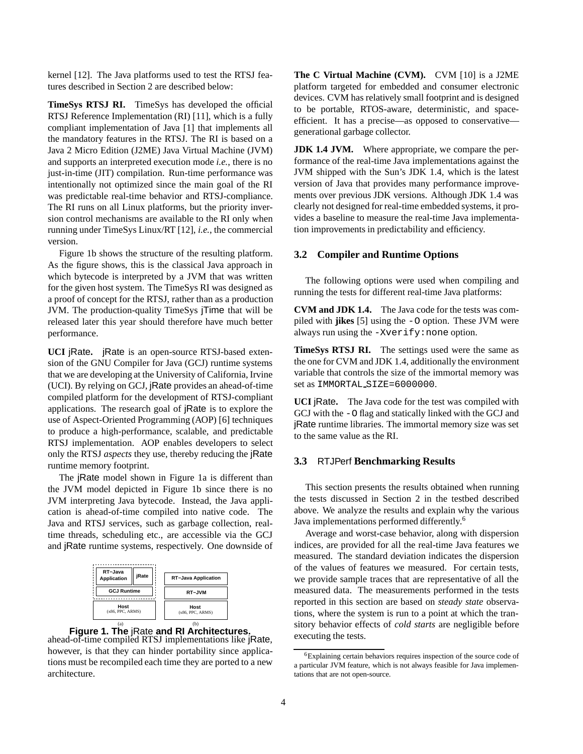kernel [12]. The Java platforms used to test the RTSJ features described in Section 2 are described below:

**TimeSys RTSJ RI.** TimeSys has developed the official RTSJ Reference Implementation (RI) [11], which is a fully compliant implementation of Java [1] that implements all the mandatory features in the RTSJ. The RI is based on a Java 2 Micro Edition (J2ME) Java Virtual Machine (JVM) and supports an interpreted execution mode *i.e.*, there is no just-in-time (JIT) compilation. Run-time performance was intentionally not optimized since the main goal of the RI was predictable real-time behavior and RTSJ-compliance. The RI runs on all Linux platforms, but the priority inversion control mechanisms are available to the RI only when running under TimeSys Linux/RT [12], *i.e.*, the commercial version.

Figure 1b shows the structure of the resulting platform. As the figure shows, this is the classical Java approach in which bytecode is interpreted by a JVM that was written for the given host system. The TimeSys RI was designed as a proof of concept for the RTSJ, rather than as a production JVM. The production-quality TimeSys jTime that will be released later this year should therefore have much better performance.

**UCI** jRate**.** jRate is an open-source RTSJ-based extension of the GNU Compiler for Java (GCJ) runtime systems that we are developing at the University of California, Irvine (UCI). By relying on GCJ, jRate provides an ahead-of-time compiled platform for the development of RTSJ-compliant applications. The research goal of jRate is to explore the use of Aspect-Oriented Programming (AOP) [6] techniques to produce a high-performance, scalable, and predictable RTSJ implementation. AOP enables developers to select only the RTSJ *aspects* they use, thereby reducing the jRate runtime memory footprint.

The jRate model shown in Figure 1a is different than the JVM model depicted in Figure 1b since there is no JVM interpreting Java bytecode. Instead, the Java application is ahead-of-time compiled into native code. The Java and RTSJ services, such as garbage collection, realtime threads, scheduling etc., are accessible via the GCJ and jRate runtime systems, respectively. One downside of



(a) (b) **Figure 1. The** jRate **and RI Architectures.**

ahead-of-time compiled RTSJ implementations like jRate, however, is that they can hinder portability since applications must be recompiled each time they are ported to a new architecture.

**The C Virtual Machine (CVM).** CVM [10] is a J2ME platform targeted for embedded and consumer electronic devices. CVM has relatively small footprint and is designed to be portable, RTOS-aware, deterministic, and spaceefficient. It has a precise—as opposed to conservative generational garbage collector.

**JDK 1.4 JVM.** Where appropriate, we compare the performance of the real-time Java implementations against the JVM shipped with the Sun's JDK 1.4, which is the latest version of Java that provides many performance improvements over previous JDK versions. Although JDK 1.4 was clearly not designed for real-time embedded systems, it provides a baseline to measure the real-time Java implementation improvements in predictability and efficiency.

#### **3.2 Compiler and Runtime Options**

The following options were used when compiling and running the tests for different real-time Java platforms:

**CVM and JDK 1.4.** The Java code for the tests was compiled with **jikes** [5] using the -O option. These JVM were always run using the -Xverify:none option.

**TimeSys RTSJ RI.** The settings used were the same as the one for CVM and JDK 1.4, additionally the environment variable that controls the size of the immortal memory was set as IMMORTAL SIZE=6000000.

**UCI** jRate**.** The Java code for the test was compiled with GCJ with the -O flag and statically linked with the GCJ and jRate runtime libraries. The immortal memory size was set to the same value as the RI.

#### **3.3** RTJPerf **Benchmarking Results**

This section presents the results obtained when running the tests discussed in Section 2 in the testbed described above. We analyze the results and explain why the various Java implementations performed differently.6

Average and worst-case behavior, along with dispersion indices, are provided for all the real-time Java features we measured. The standard deviation indicates the dispersion of the values of features we measured. For certain tests, we provide sample traces that are representative of all the measured data. The measurements performed in the tests reported in this section are based on *steady state* observations, where the system is run to a point at which the transitory behavior effects of *cold starts* are negligible before executing the tests.

<sup>6</sup>Explaining certain behaviors requires inspection of the source code of a particular JVM feature, which is not always feasible for Java implementations that are not open-source.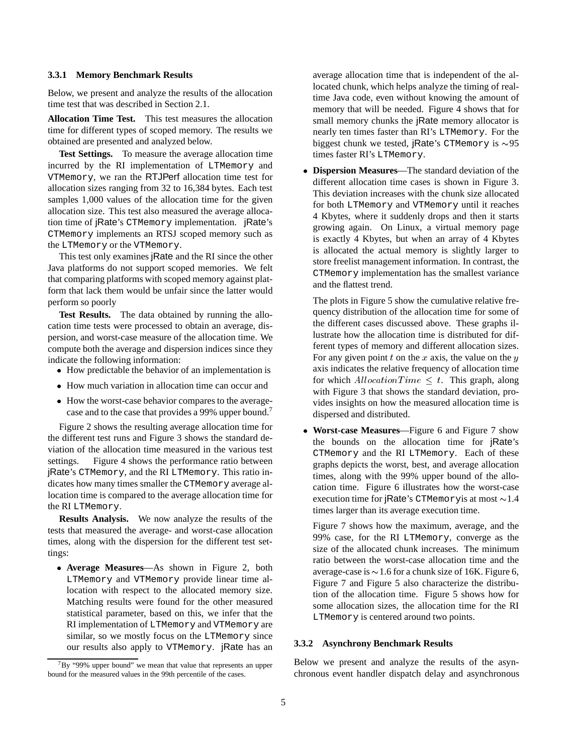#### **3.3.1 Memory Benchmark Results**

Below, we present and analyze the results of the allocation time test that was described in Section 2.1.

**Allocation Time Test.** This test measures the allocation time for different types of scoped memory. The results we obtained are presented and analyzed below.

**Test Settings.** To measure the average allocation time incurred by the RI implementation of LTMemory and VTMemory, we ran the RTJPerf allocation time test for allocation sizes ranging from 32 to 16,384 bytes. Each test samples 1,000 values of the allocation time for the given allocation size. This test also measured the average allocation time of jRate's CTMemory implementation. jRate's CTMemory implements an RTSJ scoped memory such as the LTMemory or the VTMemory.

This test only examines jRate and the RI since the other Java platforms do not support scoped memories. We felt that comparing platforms with scoped memory against platform that lack them would be unfair since the latter would perform so poorly

**Test Results.** The data obtained by running the allocation time tests were processed to obtain an average, dispersion, and worst-case measure of the allocation time. We compute both the average and dispersion indices since they indicate the following information:

- How predictable the behavior of an implementation is
- How much variation in allocation time can occur and
- How the worst-case behavior compares to the averagecase and to the case that provides a 99% upper bound.7

Figure 2 shows the resulting average allocation time for the different test runs and Figure 3 shows the standard deviation of the allocation time measured in the various test settings. Figure 4 shows the performance ratio between jRate's CTMemory, and the RI LTMemory. This ratio indicates how many times smaller the CTMemory average allocation time is compared to the average allocation time for the RI LTMemory.

**Results Analysis.** We now analyze the results of the tests that measured the average- and worst-case allocation times, along with the dispersion for the different test settings:

 **Average Measures**—As shown in Figure 2, both LTMemory and VTMemory provide linear time allocation with respect to the allocated memory size. Matching results were found for the other measured statistical parameter, based on this, we infer that the RI implementation of LTMemory and VTMemory are similar, so we mostly focus on the LTMemory since our results also apply to VTMemory. jRate has an

average allocation time that is independent of the allocated chunk, which helps analyze the timing of realtime Java code, even without knowing the amount of memory that will be needed. Figure 4 shows that for small memory chunks the jRate memory allocator is nearly ten times faster than RI's LTMemory. For the biggest chunk we tested, jRate's CTMemory is  $\sim$ 95 times faster RI's LTMemory.

 **Dispersion Measures**—The standard deviation of the different allocation time cases is shown in Figure 3. This deviation increases with the chunk size allocated for both LTMemory and VTMemory until it reaches 4 Kbytes, where it suddenly drops and then it starts growing again. On Linux, a virtual memory page is exactly 4 Kbytes, but when an array of 4 Kbytes is allocated the actual memory is slightly larger to store freelist management information. In contrast, the CTMemory implementation has the smallest variance and the flattest trend.

The plots in Figure 5 show the cumulative relative frequency distribution of the allocation time for some of the different cases discussed above. These graphs illustrate how the allocation time is distributed for different types of memory and different allocation sizes. For any given point t on the x axis, the value on the  $y$ axis indicates the relative frequency of allocation time for which  $\text{AllocationTime} \leq t$ . This graph, along with Figure 3 that shows the standard deviation, provides insights on how the measured allocation time is dispersed and distributed.

 **Worst-case Measures**—Figure 6 and Figure 7 show the bounds on the allocation time for jRate's CTMemory and the RI LTMemory. Each of these graphs depicts the worst, best, and average allocation times, along with the 99% upper bound of the allocation time. Figure 6 illustrates how the worst-case execution time for jRate's CTMemoryis at most  $\sim$ 1.4 times larger than its average execution time.

Figure 7 shows how the maximum, average, and the 99% case, for the RI LTMemory, converge as the size of the allocated chunk increases. The minimum ratio between the worst-case allocation time and the average-case is  $\sim$  1.6 for a chunk size of 16K. Figure 6, Figure 7 and Figure 5 also characterize the distribution of the allocation time. Figure 5 shows how for some allocation sizes, the allocation time for the RI LTMemory is centered around two points.

#### **3.3.2 Asynchrony Benchmark Results**

Below we present and analyze the results of the asynchronous event handler dispatch delay and asynchronous

 $7By$  "99% upper bound" we mean that value that represents an upper bound for the measured values in the 99th percentile of the cases.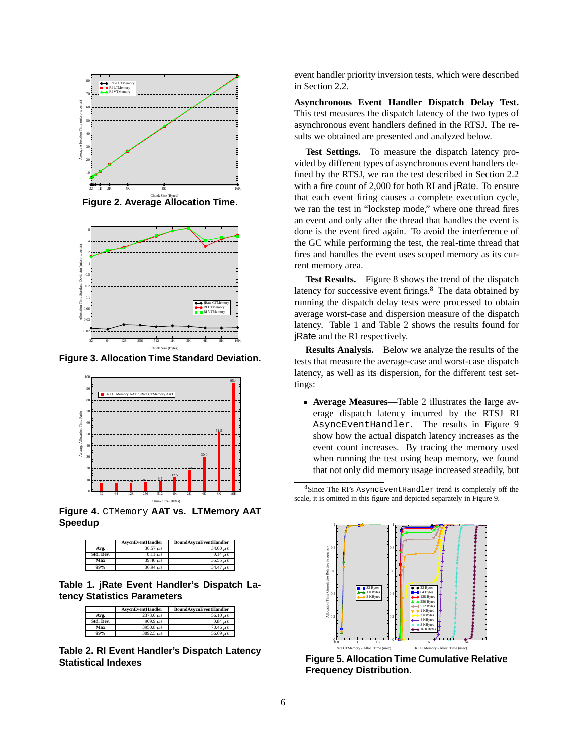

Chunk Size (Bytes) **Figure 2. Average Allocation Time.**



**Figure 3. Allocation Time Standard Deviation.**



**Figure 4.** CTMemory **AAT vs. LTMemory AAT Speedup**

|           | <b>AsvcnEventHandler</b>    | <b>BoundAsvcnEventHandler</b> |
|-----------|-----------------------------|-------------------------------|
| Avg.      | $36.57 \text{ u}$ s         | $34.00 \text{ }\mu\text{s}$   |
| Std. Dev. | $0.11$ $\mu$ s              | $0.14 \mu s$                  |
| Max       | $39.40 \text{ }\mu\text{s}$ | $35.55 \,\mu s$               |
| 99%       | $36.94 \text{ }\mu s$       | $34.47 \text{ }\mu s$         |

**Table 1. jRate Event Handler's Dispatch Latency Statistics Parameters**

|           | <b>AsvcnEventHandler</b>     | <b>BoundAsvcnEventHandler</b> |
|-----------|------------------------------|-------------------------------|
| Avg.      | $2373.0 \text{ }\mu\text{s}$ | 56.10 $\mu$ s                 |
| Std. Dev. | $909.9 \text{ }\mu\text{s}$  | $0.84 \mu s$                  |
| Max       | $3950.8 \text{ }\mu\text{s}$ | $70.46 \text{ }\mu s$         |
| 99%       | $3892.5 \text{ }\mu\text{s}$ | $56.69 \text{ u}$ s           |

**Table 2. RI Event Handler's Dispatch Latency Statistical Indexes**

event handler priority inversion tests, which were described in Section 2.2.

**Asynchronous Event Handler Dispatch Delay Test.** This test measures the dispatch latency of the two types of asynchronous event handlers defined in the RTSJ. The results we obtained are presented and analyzed below.

**Test Settings.** To measure the dispatch latency provided by different types of asynchronous event handlers defined by the RTSJ, we ran the test described in Section 2.2 with a fire count of 2,000 for both RI and *jRate*. To ensure that each event firing causes a complete execution cycle, we ran the test in "lockstep mode," where one thread fires an event and only after the thread that handles the event is done is the event fired again. To avoid the interference of the GC while performing the test, the real-time thread that fires and handles the event uses scoped memory as its current memory area.

**Test Results.** Figure 8 shows the trend of the dispatch latency for successive event firings.<sup>8</sup> The data obtained by running the dispatch delay tests were processed to obtain average worst-case and dispersion measure of the dispatch latency. Table 1 and Table 2 shows the results found for jRate and the RI respectively.

**Results Analysis.** Below we analyze the results of the tests that measure the average-case and worst-case dispatch latency, as well as its dispersion, for the different test settings:

 **Average Measures**—Table 2 illustrates the large average dispatch latency incurred by the RTSJ RI AsyncEventHandler. The results in Figure 9 show how the actual dispatch latency increases as the event count increases. By tracing the memory used when running the test using heap memory, we found that not only did memory usage increased steadily, but

8Since The RI's AsyncEventHandler trend is completely off the scale, it is omitted in this figure and depicted separately in Figure 9.



**Figure 5. Allocation Time Cumulative Relative Frequency Distribution.**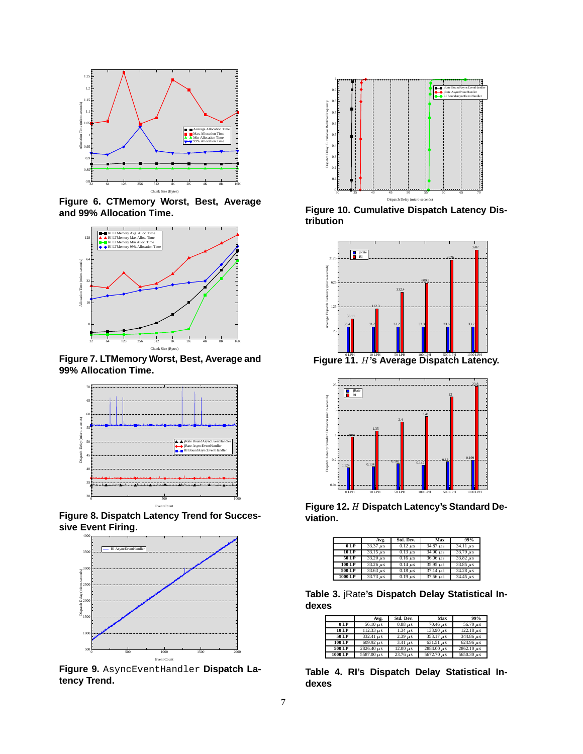

**Figure 6. CTMemory Worst, Best, Average and 99% Allocation Time.**



**Figure 7. LTMemory Worst, Best, Average and 99% Allocation Time.**



**Figure 8. Dispatch Latency Trend for Successive Event Firing.**



**Figure 9.** AsyncEventHandler **Dispatch Latency Trend.**



**Figure 10. Cumulative Dispatch Latency Distribution**



0 LPH 10 LPH 50 LPH 100 LPH 500 LPH 1000 LPH **Figure 11.** H**'s Average Dispatch Latency.**



**Figure 12.** H **Dispatch Latency's Standard Deviation.**

|          | Avg.                        | Std. Dev.    | Max             | 99%             |
|----------|-----------------------------|--------------|-----------------|-----------------|
| 0 LP     | $33.37 \,\mu s$             | $0.12 \mu s$ | $34.87 \,\mu s$ | 34.11 $\mu$ s   |
| 10 LP    | $33.15 \,\mu s$             | $0.13 \mu s$ | $34.90 \,\mu s$ | $33.79 \,\mu s$ |
| 50 LP    | $33.20 \mu s$               | $0.16 \mu s$ | $36.06 \,\mu s$ | $33.82 \mu s$   |
| $100$ LP | $33.26 \text{ }\mu\text{s}$ | $0.14 \mu s$ | $35.95 \,\mu s$ | $33.85 \,\mu s$ |
| 500 LP   | $33.63 \mu s$               | $0.18 \mu s$ | $37.14 \mu s$   | $34.28 \mu s$   |
| 1000 LP  | $33.73 \,\mu s$             | $0.19 \mu s$ | $37.56 \,\mu s$ | $34.45 \mu s$   |

**Table 3.** jRate**'s Dispatch Delay Statistical Indexes**

|                  | Avg.              | Std. Dev.       | Max               | 99%              |
|------------------|-------------------|-----------------|-------------------|------------------|
| 0 <sub>L</sub> P | 56.10 $\mu$ s     | $0.88 \mu s$    | $70.46 \,\mu s$   | 56.70 $\mu$ s    |
| 10 LP            | $112.33 \mu s$    | $1.34 \mu s$    | $133.90 \,\mu s$  | $122.18 \mu s$   |
| 50 LP            | $332.41 \,\mu s$  | $2.39 \mu s$    | $353.17 \ \mu s$  | $344.86 \mu s$   |
| 100 LP           | $609.92 \,\mu s$  | $3.41 \mu s$    | $631.51 \,\mu s$  | $624.96 \,\mu s$ |
| 500 LP           | $2826.40 \,\mu s$ | $12.00 \mu s$   | $2884.00 \,\mu s$ | $2862.10 \mu s$  |
| 1000 LP          | 5587.00 $\mu$ s   | $23.76 \,\mu s$ | $5672.70 \,\mu s$ | 5650.30 $\mu$ s  |

**Table 4. RI's Dispatch Delay Statistical Indexes**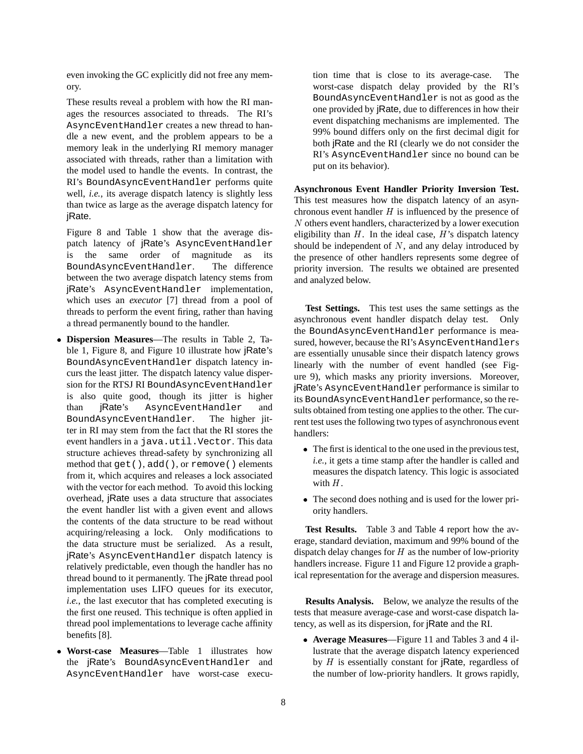even invoking the GC explicitly did not free any memory.

These results reveal a problem with how the RI manages the resources associated to threads. The RI's AsyncEventHandler creates a new thread to handle a new event, and the problem appears to be a memory leak in the underlying RI memory manager associated with threads, rather than a limitation with the model used to handle the events. In contrast, the RI's BoundAsyncEventHandler performs quite well, *i.e.*, its average dispatch latency is slightly less than twice as large as the average dispatch latency for jRate.

Figure 8 and Table 1 show that the average dispatch latency of jRate's AsyncEventHandler is the same order of magnitude as its BoundAsyncEventHandler. The difference between the two average dispatch latency stems from jRate's AsyncEventHandler implementation, which uses an *executor* [7] thread from a pool of threads to perform the event firing, rather than having a thread permanently bound to the handler.

- **Dispersion Measures**—The results in Table 2, Table 1, Figure 8, and Figure 10 illustrate how jRate's BoundAsyncEventHandler dispatch latency incurs the least jitter. The dispatch latency value dispersion for the RTSJ RI BoundAsyncEventHandler is also quite good, though its jitter is higher than jRate's AsyncEventHandler and BoundAsyncEventHandler. The higher jitter in RI may stem from the fact that the RI stores the event handlers in a java.util.Vector. This data structure achieves thread-safety by synchronizing all method that get(), add(), or remove() elements from it, which acquires and releases a lock associated with the vector for each method. To avoid this locking overhead, jRate uses a data structure that associates the event handler list with a given event and allows the contents of the data structure to be read without acquiring/releasing a lock. Only modifications to the data structure must be serialized. As a result, jRate's AsyncEventHandler dispatch latency is relatively predictable, even though the handler has no thread bound to it permanently. The jRate thread pool implementation uses LIFO queues for its executor, *i.e.*, the last executor that has completed executing is the first one reused. This technique is often applied in thread pool implementations to leverage cache affinity benefits [8].
- **Worst-case Measures**—Table 1 illustrates how the jRate's BoundAsyncEventHandler and AsyncEventHandler have worst-case execu-

tion time that is close to its average-case. The worst-case dispatch delay provided by the RI's BoundAsyncEventHandler is not as good as the one provided by jRate, due to differences in how their event dispatching mechanisms are implemented. The 99% bound differs only on the first decimal digit for both jRate and the RI (clearly we do not consider the RI's AsyncEventHandler since no bound can be put on its behavior).

**Asynchronous Event Handler Priority Inversion Test.** This test measures how the dispatch latency of an asynchronous event handler  $H$  is influenced by the presence of N others event handlers, characterized by a lower execution eligibility than  $H$ . In the ideal case,  $H$ 's dispatch latency should be independent of  $N$ , and any delay introduced by the presence of other handlers represents some degree of priority inversion. The results we obtained are presented and analyzed below.

**Test Settings.** This test uses the same settings as the asynchronous event handler dispatch delay test. Only the BoundAsyncEventHandler performance is measured, however, because the RI's AsyncEventHandlers are essentially unusable since their dispatch latency grows linearly with the number of event handled (see Figure 9), which masks any priority inversions. Moreover, jRate's AsyncEventHandler performance is similar to its BoundAsyncEventHandler performance, so the results obtained from testing one applies to the other. The current test uses the following two types of asynchronous event handlers:

- The first is identical to the one used in the previous test, *i.e.*, it gets a time stamp after the handler is called and measures the dispatch latency. This logic is associated with  $H$ .
- The second does nothing and is used for the lower priority handlers.

**Test Results.** Table 3 and Table 4 report how the average, standard deviation, maximum and 99% bound of the dispatch delay changes for  $H$  as the number of low-priority handlers increase. Figure 11 and Figure 12 provide a graphical representation for the average and dispersion measures.

**Results Analysis.** Below, we analyze the results of the tests that measure average-case and worst-case dispatch latency, as well as its dispersion, for jRate and the RI.

 **Average Measures**—Figure 11 and Tables 3 and 4 illustrate that the average dispatch latency experienced by  $H$  is essentially constant for jRate, regardless of the number of low-priority handlers. It grows rapidly,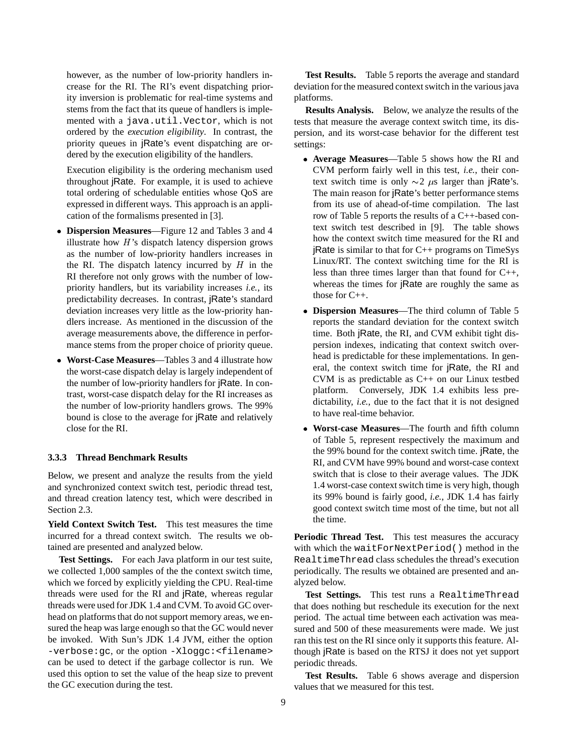however, as the number of low-priority handlers increase for the RI. The RI's event dispatching priority inversion is problematic for real-time systems and stems from the fact that its queue of handlers is implemented with a java.util.Vector, which is not ordered by the *execution eligibility*. In contrast, the priority queues in jRate's event dispatching are ordered by the execution eligibility of the handlers.

Execution eligibility is the ordering mechanism used throughout jRate. For example, it is used to achieve total ordering of schedulable entities whose QoS are expressed in different ways. This approach is an application of the formalisms presented in [3].

- **Dispersion Measures**—Figure 12 and Tables 3 and 4 illustrate how  $H$ 's dispatch latency dispersion grows as the number of low-priority handlers increases in the RI. The dispatch latency incurred by  $H$  in the RI therefore not only grows with the number of lowpriority handlers, but its variability increases *i.e.*, its predictability decreases. In contrast, jRate's standard deviation increases very little as the low-priority handlers increase. As mentioned in the discussion of the average measurements above, the difference in performance stems from the proper choice of priority queue.
- **Worst-Case Measures**—Tables 3 and 4 illustrate how the worst-case dispatch delay is largely independent of the number of low-priority handlers for jRate. In contrast, worst-case dispatch delay for the RI increases as the number of low-priority handlers grows. The 99% bound is close to the average for jRate and relatively close for the RI.

#### **3.3.3 Thread Benchmark Results**

Below, we present and analyze the results from the yield and synchronized context switch test, periodic thread test, and thread creation latency test, which were described in Section 2.3.

**Yield Context Switch Test.** This test measures the time incurred for a thread context switch. The results we obtained are presented and analyzed below.

**Test Settings.** For each Java platform in our test suite, we collected 1,000 samples of the the context switch time, which we forced by explicitly yielding the CPU. Real-time threads were used for the RI and jRate, whereas regular threads were used for JDK 1.4 and CVM. To avoid GC overhead on platforms that do not support memory areas, we ensured the heap was large enough so that the GC would never be invoked. With Sun's JDK 1.4 JVM, either the option -verbose:gc, or the option -Xloggc:<filename> can be used to detect if the garbage collector is run. We used this option to set the value of the heap size to prevent the GC execution during the test.

**Test Results.** Table 5 reports the average and standard deviation for the measured context switch in the various java platforms.

**Results Analysis.** Below, we analyze the results of the tests that measure the average context switch time, its dispersion, and its worst-case behavior for the different test settings:

- **Average Measures**—Table 5 shows how the RI and CVM perform fairly well in this test, *i.e.*, their context switch time is only  $\sim$ 2  $\mu$ s larger than jRate's. The main reason for jRate's better performance stems from its use of ahead-of-time compilation. The last row of Table 5 reports the results of a C++-based context switch test described in [9]. The table shows how the context switch time measured for the RI and jRate is similar to that for C++ programs on TimeSys Linux/RT. The context switching time for the RI is less than three times larger than that found for C++, whereas the times for jRate are roughly the same as those for C++.
- **Dispersion Measures**—The third column of Table 5 reports the standard deviation for the context switch time. Both jRate, the RI, and CVM exhibit tight dispersion indexes, indicating that context switch overhead is predictable for these implementations. In general, the context switch time for jRate, the RI and CVM is as predictable as C++ on our Linux testbed platform. Conversely, JDK 1.4 exhibits less predictability, *i.e.*, due to the fact that it is not designed to have real-time behavior.
- **Worst-case Measures**—The fourth and fifth column of Table 5, represent respectively the maximum and the 99% bound for the context switch time. jRate, the RI, and CVM have 99% bound and worst-case context switch that is close to their average values. The JDK 1.4 worst-case context switch time is very high, though its 99% bound is fairly good, *i.e.*, JDK 1.4 has fairly good context switch time most of the time, but not all the time.

Periodic Thread Test. This test measures the accuracy with which the waitForNextPeriod() method in the RealtimeThread class schedules the thread's execution periodically. The results we obtained are presented and analyzed below.

**Test Settings.** This test runs a RealtimeThread that does nothing but reschedule its execution for the next period. The actual time between each activation was measured and 500 of these measurements were made. We just ran this test on the RI since only it supports this feature. Although jRate is based on the RTSJ it does not yet support periodic threads.

**Test Results.** Table 6 shows average and dispersion values that we measured for this test.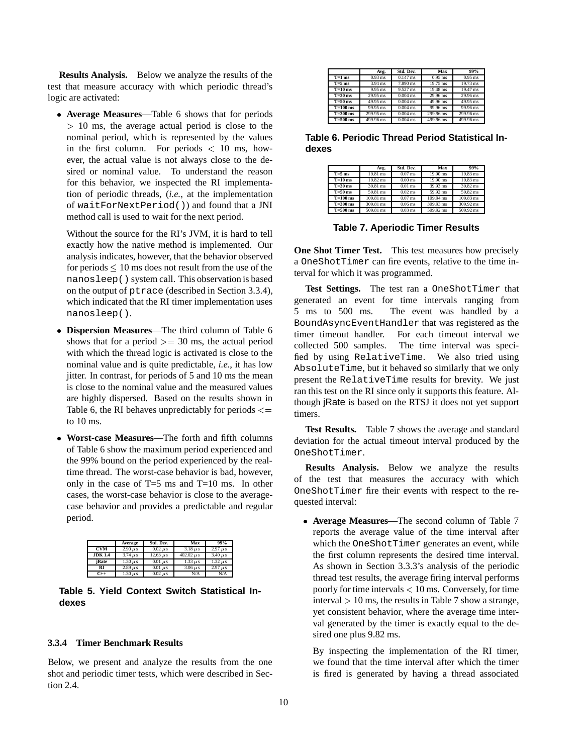**Results Analysis.** Below we analyze the results of the test that measure accuracy with which periodic thread's logic are activated:

 **Average Measures**—Table 6 shows that for periods > 10 ms, the average actual period is close to the nominal period, which is represented by the values in the first column. For periods  $\langle 10 \text{ ms}, \text{ how-} \rangle$ ever, the actual value is not always close to the desired or nominal value. To understand the reason for this behavior, we inspected the RI implementation of periodic threads, (*i.e.*, at the implementation of waitForNextPeriod()) and found that a JNI method call is used to wait for the next period.

Without the source for the RI's JVM, it is hard to tell exactly how the native method is implemented. Our analysis indicates, however, that the behavior observed for periods  $\leq 10$  ms does not result from the use of the nanosleep() system call. This observation is based on the output of ptrace (described in Section 3.3.4), which indicated that the RI timer implementation uses nanosleep().

- **Dispersion Measures**—The third column of Table 6 shows that for a period  $\geq$  = 30 ms, the actual period with which the thread logic is activated is close to the nominal value and is quite predictable, *i.e.*, it has low jitter. In contrast, for periods of 5 and 10 ms the mean is close to the nominal value and the measured values are highly dispersed. Based on the results shown in Table 6, the RI behaves unpredictably for periods  $\leq$ to 10 ms.
- **Worst-case Measures**—The forth and fifth columns of Table 6 show the maximum period experienced and the 99% bound on the period experienced by the realtime thread. The worst-case behavior is bad, however, only in the case of  $T=5$  ms and  $T=10$  ms. In other cases, the worst-case behavior is close to the averagecase behavior and provides a predictable and regular period.

|                | Average      | Std. Dev.     | Max                          | 99%          |
|----------------|--------------|---------------|------------------------------|--------------|
| <b>CVM</b>     | $2.90 \mu s$ | $0.02 \mu s$  | $3.18 \mu s$                 | $2.97 \mu s$ |
| <b>JDK 1.4</b> | $3.74 \mu s$ | $12.63 \mu s$ | $402.02 \text{ }\mu\text{s}$ | $3.40 \mu s$ |
| iRate          | $1.30 \mu s$ | $0.01 \mu s$  | $1.33 \mu s$                 | $1.32 \mu s$ |
| RI             | $2.89 \mu s$ | $0.01 \mu s$  | $3.06 \mu s$                 | $2.97 \mu s$ |
| $C++$          | $1.30 \mu s$ | $0.02 \mu s$  | N/A                          | N/A          |

**Table 5. Yield Context Switch Statistical Indexes**

#### **3.3.4 Timer Benchmark Results**

Below, we present and analyze the results from the one shot and periodic timer tests, which were described in Section 2.4.

|              | Avg.       | Std. Dev.  | Max       | 99%        |
|--------------|------------|------------|-----------|------------|
| $T=1$ ms     | $0.93$ ms  | $0.147$ ms | $0.95$ ms | $0.95$ ms  |
| $T = 5$ ms   | $3.94$ ms  | 7.890 ms   | 19.75 ms  | $19.73$ ms |
| $T=10$ ms    | $9.95$ ms  | $9.527$ ms | 19.48 ms  | 19.47 ms   |
| $T = 30$ ms  | $29.95$ ms | $0.004$ ms | 29.96 ms  | 29.96 ms   |
| $T = 50$ ms  | 49.95 ms   | $0.004$ ms | 49.96 ms  | 49.95 ms   |
| $T=100$ ms   | 99.95 ms   | $0.004$ ms | 99.96 ms  | 99.96 ms   |
| $T = 300$ ms | 299.95 ms  | $0.004$ ms | 299.96 ms | 299.96 ms  |
| $T = 500$ ms | 499.96 ms  | $0.004$ ms | 499.96 ms | 499.96 ms  |

**Table 6. Periodic Thread Period Statistical Indexes**

|              | Avg.      | Std. Dev. | Max       | 99%         |
|--------------|-----------|-----------|-----------|-------------|
| $T=5$ ms     | 19.81 ms  | $0.07$ ms | 19.90 ms  | 19.83 ms    |
| $T=10$ ms    | 19.82 ms  | $0.00$ ms | 19.90 ms  | 19.83 ms    |
| $T = 30$ ms  | 39.81 ms  | $0.01$ ms | 39.93 ms  | 39.82 ms    |
| $T = 50$ ms  | 59.81 ms  | $0.02$ ms | 59.92 ms  | 59.82 ms    |
| $T=100$ ms   | 109.81 ms | $0.07$ ms | 109.94 ms | $109.83$ ms |
| $T = 300$ ms | 309.81 ms | $0.06$ ms | 309.93 ms | 309.92 ms   |
| $T = 500$ ms | 509.81 ms | $0.03$ ms | 509.92 ms | 509.92 ms   |

**Table 7. Aperiodic Timer Results**

**One Shot Timer Test.** This test measures how precisely a OneShotTimer can fire events, relative to the time interval for which it was programmed.

**Test Settings.** The test ran a OneShotTimer that generated an event for time intervals ranging from 5 ms to 500 ms. The event was handled by a BoundAsyncEventHandler that was registered as the timer timeout handler. For each timeout interval we collected 500 samples. The time interval was specified by using RelativeTime. We also tried using AbsoluteTime, but it behaved so similarly that we only present the RelativeTime results for brevity. We just ran this test on the RI since only it supports this feature. Although jRate is based on the RTSJ it does not yet support timers.

**Test Results.** Table 7 shows the average and standard deviation for the actual timeout interval produced by the OneShotTimer.

**Results Analysis.** Below we analyze the results of the test that measures the accuracy with which OneShotTimer fire their events with respect to the requested interval:

 **Average Measures**—The second column of Table 7 reports the average value of the time interval after which the OneShotTimer generates an event, while the first column represents the desired time interval. As shown in Section 3.3.3's analysis of the periodic thread test results, the average firing interval performs poorly for time intervals <sup>&</sup>lt; 10 ms. Conversely, for time interval  $> 10$  ms, the results in Table 7 show a strange, yet consistent behavior, where the average time interval generated by the timer is exactly equal to the desired one plus 9.82 ms.

By inspecting the implementation of the RI timer, we found that the time interval after which the timer is fired is generated by having a thread associated